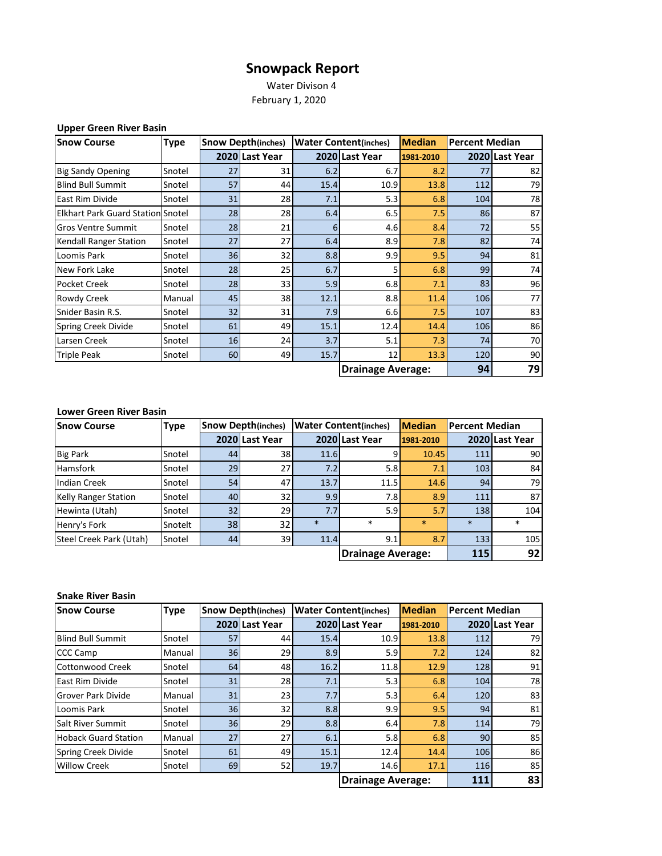## **Snowpack Report**

 Water Divison 4 February 1, 2020

| <b>Upper Green River Basin</b> |  |  |  |
|--------------------------------|--|--|--|
|--------------------------------|--|--|--|

| <b>Snow Course</b>                       | <b>Type</b> | <b>Snow Depth(inches)</b><br><b>Water Content(inches)</b> |                |      | <b>Median</b><br><b>Percent Median</b> |           |     |                |
|------------------------------------------|-------------|-----------------------------------------------------------|----------------|------|----------------------------------------|-----------|-----|----------------|
|                                          |             |                                                           | 2020 Last Year |      | 2020 Last Year                         | 1981-2010 |     | 2020 Last Year |
| <b>Big Sandy Opening</b>                 | Snotel      | 27                                                        | 31             | 6.2  | 6.7                                    | 8.2       | 77  | 82             |
| <b>Blind Bull Summit</b>                 | Snotel      | 57                                                        | 44             | 15.4 | 10.9                                   | 13.8      | 112 | 79             |
| <b>East Rim Divide</b>                   | Snotel      | 31                                                        | 28             | 7.1  | 5.3                                    | 6.8       | 104 | 78             |
| <b>Elkhart Park Guard Station Snotel</b> |             | 28                                                        | 28             | 6.4  | 6.5                                    | 7.5       | 86  | 87             |
| <b>Gros Ventre Summit</b>                | Snotel      | 28                                                        | 21             | 6    | 4.6                                    | 8.4       | 72  | 55             |
| Kendall Ranger Station                   | Snotel      | 27                                                        | 27             | 6.4  | 8.9                                    | 7.8       | 82  | 74             |
| Loomis Park                              | Snotel      | 36                                                        | 32             | 8.8  | 9.9                                    | 9.5       | 94  | 81             |
| New Fork Lake                            | Snotel      | 28                                                        | 25             | 6.7  | 5                                      | 6.8       | 99  | 74             |
| <b>Pocket Creek</b>                      | Snotel      | 28                                                        | 33             | 5.9  | 6.8                                    | 7.1       | 83  | 96             |
| Rowdy Creek                              | Manual      | 45                                                        | 38             | 12.1 | 8.8                                    | 11.4      | 106 | 77             |
| Snider Basin R.S.                        | Snotel      | 32                                                        | 31             | 7.9  | 6.6                                    | 7.5       | 107 | 83             |
| <b>Spring Creek Divide</b>               | Snotel      | 61                                                        | 49             | 15.1 | 12.4                                   | 14.4      | 106 | 86             |
| Larsen Creek                             | Snotel      | 16                                                        | 24             | 3.7  | 5.1                                    | 7.3       | 74  | 70             |
| <b>Triple Peak</b>                       | Snotel      | 60                                                        | 49             | 15.7 | 12                                     | 13.3      | 120 | 90             |
|                                          |             |                                                           |                |      | <b>Drainage Average:</b>               |           | 94  | 79             |

## **Lower Green River Basin**

| <b>Snow Course</b>          | <b>Type</b> | <b>Snow Depth(inches)</b> |                | <b>Water Content(inches)</b> | <b>Median</b>            |           | <b>Percent Median</b> |                |
|-----------------------------|-------------|---------------------------|----------------|------------------------------|--------------------------|-----------|-----------------------|----------------|
|                             |             |                           | 2020 Last Year |                              | 2020 Last Year           | 1981-2010 |                       | 2020 Last Year |
| <b>Big Park</b>             | Snotel      | 44                        | 38             | 11.6                         | 9                        | 10.45     | 111                   | 90             |
| <b>Hamsfork</b>             | Snotel      | 29                        | 27I            | 7.2                          | 5.8                      | 7.1       | 103                   | 84             |
| Indian Creek                | Snotel      | 54                        | 47             | 13.7                         | 11.5                     | 14.6      | 94                    | 79             |
| <b>Kelly Ranger Station</b> | Snotel      | 40                        | 32             | 9.9                          | 7.8                      | 8.9       | 111                   | 87             |
| Hewinta (Utah)              | Snotel      | 32 <sub>1</sub>           | 29             | 7.7                          | 5.9                      | 5.7       | 138                   | 104            |
| Henry's Fork                | Snotelt     | 38                        | 32             | $\ast$                       | $\ast$                   | $\ast$    | $\ast$                | $\ast$         |
| Steel Creek Park (Utah)     | Snotel      | 44                        | 39             | 11.4                         | 9.1 <sub>1</sub>         | 8.7       | 133                   | 105            |
|                             |             |                           |                |                              | <b>Drainage Average:</b> |           | 115                   | 92             |

## **Snake River Basin**

| <b>Snow Course</b>          | <b>Type</b> |    | <b>Snow Depth(inches)</b> | <b>Water Content(inches)</b> |                | <b>Median</b> | Percent Median |                |
|-----------------------------|-------------|----|---------------------------|------------------------------|----------------|---------------|----------------|----------------|
|                             |             |    | 2020 Last Year            |                              | 2020 Last Year | 1981-2010     |                | 2020 Last Year |
| <b>Blind Bull Summit</b>    | Snotel      | 57 | 44                        | 15.4                         | 10.9           | 13.8          | 112            | 79             |
| <b>CCC Camp</b>             | Manual      | 36 | 29                        | 8.9                          | 5.9            | 7.2           | 124            | 82             |
| Cottonwood Creek            | Snotel      | 64 | 48                        | 16.2                         | 11.8           | 12.9          | 128            | 91             |
| East Rim Divide             | Snotel      | 31 | 28                        | 7.1                          | 5.3            | 6.8           | 104            | 78             |
| <b>Grover Park Divide</b>   | Manual      | 31 | 23                        | 7.7                          | 5.3            | 6.4           | 120            | 83             |
| Loomis Park                 | Snotel      | 36 | 32                        | 8.8                          | 9.9            | 9.5           | 94             | 81             |
| <b>Salt River Summit</b>    | Snotel      | 36 | 29                        | 8.8                          | 6.4            | 7.8           | 114            | 79             |
| <b>Hoback Guard Station</b> | Manual      | 27 | 27                        | 6.1                          | 5.8            | 6.8           | 90             | 85             |
| Spring Creek Divide         | Snotel      | 61 | 49                        | 15.1                         | 12.4           | 14.4          | 106            | 86             |
| <b>Willow Creek</b>         | Snotel      | 69 | 52                        | 19.7                         | 14.6           | 17.1          | 116            | 85             |
|                             |             |    |                           | <b>Drainage Average:</b>     |                | 111           | 83             |                |